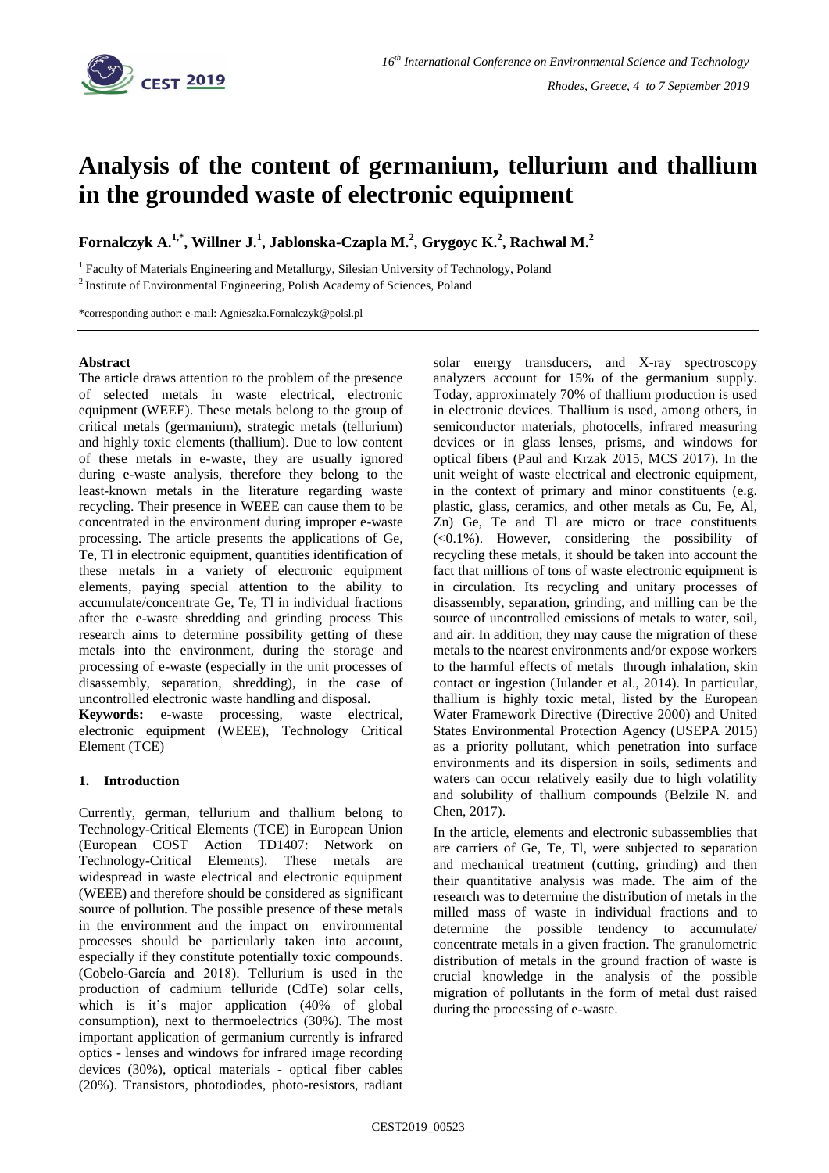

# **Analysis of the content of germanium, tellurium and thallium in the grounded waste of electronic equipment**

**Fornalczyk A.1,\* , Willner J.<sup>1</sup> , Jablonska-Czapla M.<sup>2</sup> , Grygoyc K.<sup>2</sup> , Rachwal M.<sup>2</sup>**

<sup>1</sup> Faculty of Materials Engineering and Metallurgy, Silesian University of Technology, Poland

<sup>2</sup> Institute of Environmental Engineering, Polish Academy of Sciences, Poland

\*corresponding author: e-mail: Agnieszka.Fornalczyk@polsl.pl

# **Abstract**

The article draws attention to the problem of the presence of selected metals in waste electrical, electronic equipment (WEEE). These metals belong to the group of critical metals (germanium), strategic metals (tellurium) and highly toxic elements (thallium). Due to low content of these metals in e-waste, they are usually ignored during e-waste analysis, therefore they belong to the least-known metals in the literature regarding waste recycling. Their presence in WEEE can cause them to be concentrated in the environment during improper e-waste processing. The article presents the applications of Ge, Te, Tl in electronic equipment, quantities identification of these metals in a variety of electronic equipment elements, paying special attention to the ability to accumulate/concentrate Ge, Te, Tl in individual fractions after the e-waste shredding and grinding process This research aims to determine possibility getting of these metals into the environment, during the storage and processing of e-waste (especially in the unit processes of disassembly, separation, shredding), in the case of uncontrolled electronic waste handling and disposal.

**Keywords:** e-waste processing, waste electrical, electronic equipment (WEEE), Technology Critical Element (TCE)

# **1. Introduction**

Currently, german, tellurium and thallium belong to Technology-Critical Elements (TCE) in European Union (European COST Action TD1407: Network on Technology-Critical Elements). These metals are widespread in waste electrical and electronic equipment (WEEE) and therefore should be considered as significant source of pollution. The possible presence of these metals in the environment and the impact on environmental processes should be particularly taken into account, especially if they constitute potentially toxic compounds. (Cobelo-García and 2018). Tellurium is used in the production of cadmium telluride (CdTe) solar cells, which is it's major application (40% of global consumption), next to thermoelectrics (30%). The most important application of germanium currently is infrared optics - lenses and windows for infrared image recording devices (30%), optical materials - optical fiber cables (20%). Transistors, photodiodes, photo-resistors, radiant solar energy transducers, and X-ray spectroscopy analyzers account for 15% of the germanium supply. Today, approximately 70% of thallium production is used in electronic devices. Thallium is used, among others, in semiconductor materials, photocells, infrared measuring devices or in glass lenses, prisms, and windows for optical fibers (Paul and Krzak 2015, MCS 2017). In the unit weight of waste electrical and electronic equipment, in the context of primary and minor constituents (e.g. plastic, glass, ceramics, and other metals as Cu, Fe, Al, Zn) Ge, Te and Tl are micro or trace constituents (<0.1%). However, considering the possibility of recycling these metals, it should be taken into account the fact that millions of tons of waste electronic equipment is in circulation. Its recycling and unitary processes of disassembly, separation, grinding, and milling can be the source of uncontrolled emissions of metals to water, soil, and air. In addition, they may cause the migration of these metals to the nearest environments and/or expose workers to the harmful effects of metals through inhalation, skin contact or ingestion (Julander et al., 2014). In particular, thallium is highly toxic metal, listed by the European Water Framework Directive (Directive 2000) and United States Environmental Protection Agency (USEPA 2015) as a priority pollutant, which penetration into surface environments and its dispersion in soils, sediments and waters can occur relatively easily due to high volatility and solubility of thallium compounds (Belzile N. and Chen, 2017).

In the article, elements and electronic subassemblies that are carriers of Ge, Te, Tl, were subjected to separation and mechanical treatment (cutting, grinding) and then their quantitative analysis was made. The aim of the research was to determine the distribution of metals in the milled mass of waste in individual fractions and to determine the possible tendency to accumulate/ concentrate metals in a given fraction. The granulometric distribution of metals in the ground fraction of waste is crucial knowledge in the analysis of the possible migration of pollutants in the form of metal dust raised during the processing of e-waste.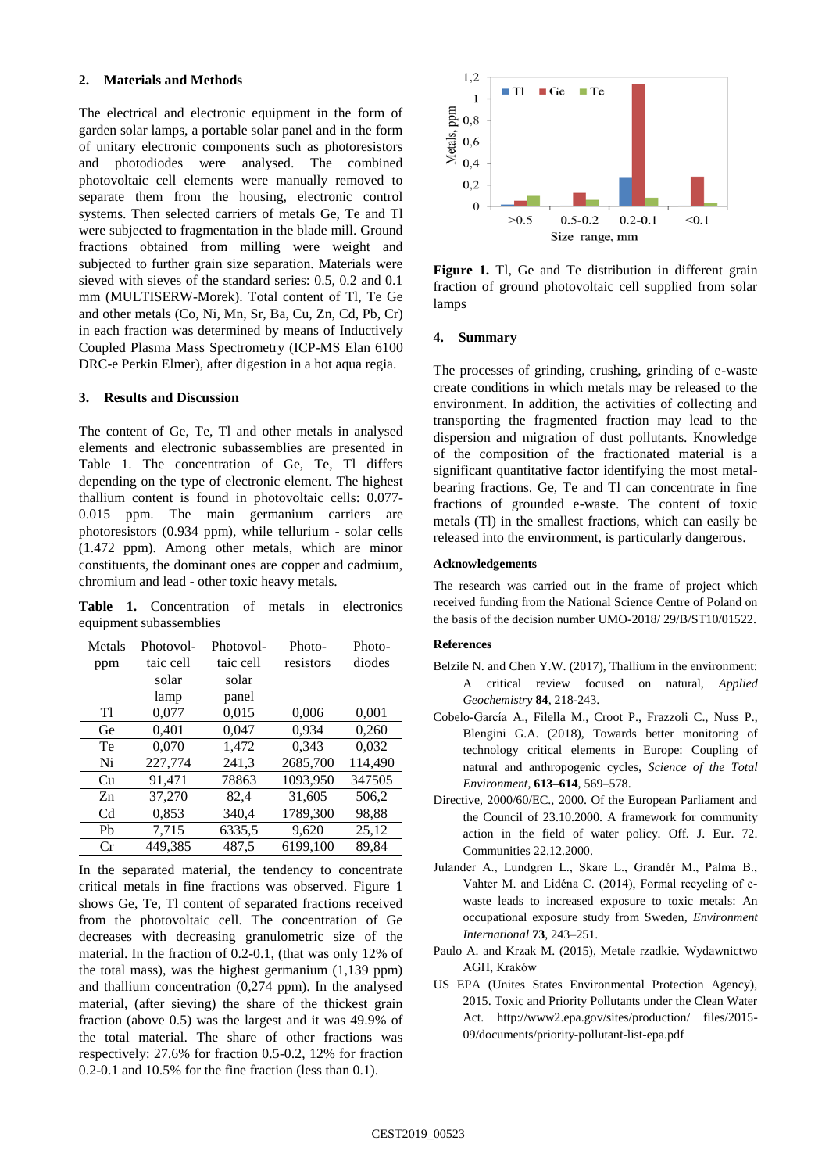# **2. Materials and Methods**

The electrical and electronic equipment in the form of garden solar lamps, a portable solar panel and in the form of unitary electronic components such as photoresistors and photodiodes were analysed. The combined photovoltaic cell elements were manually removed to separate them from the housing, electronic control systems. Then selected carriers of metals Ge, Te and Tl were subjected to fragmentation in the blade mill. Ground fractions obtained from milling were weight and subjected to further grain size separation. Materials were sieved with sieves of the standard series: 0.5, 0.2 and 0.1 mm (MULTISERW-Morek). Total content of Tl, Te Ge and other metals (Co, Ni, Mn, Sr, Ba, Cu, Zn, Cd, Pb, Cr) in each fraction was determined by means of Inductively Coupled Plasma Mass Spectrometry (ICP-MS Elan 6100 DRC-e Perkin Elmer), after digestion in a hot aqua regia.

## **3. Results and Discussion**

The content of Ge, Te, Tl and other metals in analysed elements and electronic subassemblies are presented in Table 1. The concentration of Ge, Te, Tl differs depending on the type of electronic element. The highest thallium content is found in photovoltaic cells: 0.077- 0.015 ppm. The main germanium carriers are photoresistors (0.934 ppm), while tellurium - solar cells (1.472 ppm). Among other metals, which are minor constituents, the dominant ones are copper and cadmium, chromium and lead - other toxic heavy metals.

**Table 1.** Concentration of metals in electronics equipment subassemblies

| Metals | Photovol- | Photovol- | Photo-    | Photo-  |
|--------|-----------|-----------|-----------|---------|
| ppm    | taic cell | taic cell | resistors | diodes  |
|        | solar     | solar     |           |         |
|        | lamp      | panel     |           |         |
| T1     | 0,077     | 0,015     | 0,006     | 0,001   |
| Ge     | 0,401     | 0,047     | 0,934     | 0,260   |
| Te     | 0.070     | 1,472     | 0.343     | 0,032   |
| Ni     | 227,774   | 241,3     | 2685,700  | 114,490 |
| Cu     | 91,471    | 78863     | 1093,950  | 347505  |
| Zn     | 37,270    | 82.4      | 31,605    | 506.2   |
| Cd     | 0,853     | 340,4     | 1789,300  | 98,88   |
| Ph     | 7,715     | 6335,5    | 9,620     | 25,12   |
| Cr     | 449.385   | 487.5     | 6199.100  | 89.84   |

In the separated material, the tendency to concentrate critical metals in fine fractions was observed. Figure 1 shows Ge, Te, Tl content of separated fractions received from the photovoltaic cell. The concentration of Ge decreases with decreasing granulometric size of the material. In the fraction of 0.2-0.1, (that was only 12% of the total mass), was the highest germanium  $(1.139$  ppm) and thallium concentration (0,274 ppm). In the analysed material, (after sieving) the share of the thickest grain fraction (above 0.5) was the largest and it was 49.9% of the total material. The share of other fractions was respectively: 27.6% for fraction 0.5-0.2, 12% for fraction 0.2-0.1 and 10.5% for the fine fraction (less than 0.1).



Figure 1. Tl, Ge and Te distribution in different grain fraction of ground photovoltaic cell supplied from solar lamps

### **4. Summary**

The processes of grinding, crushing, grinding of e-waste create conditions in which metals may be released to the environment. In addition, the activities of collecting and transporting the fragmented fraction may lead to the dispersion and migration of dust pollutants. Knowledge of the composition of the fractionated material is a significant quantitative factor identifying the most metalbearing fractions. Ge, Te and Tl can concentrate in fine fractions of grounded e-waste. The content of toxic metals (Tl) in the smallest fractions, which can easily be released into the environment, is particularly dangerous.

### **Acknowledgements**

The research was carried out in the frame of project which received funding from the National Science Centre of Poland on the basis of the decision number UMO-2018/ 29/B/ST10/01522.

#### **References**

- Belzile N. and Chen Y.W. (2017), Thallium in the environment: A critical review focused on natural, *Applied Geochemistry* **84**, 218-243.
- Cobelo-García A., Filella M., Croot P., Frazzoli C., Nuss P., Blengini G.A. (2018), Towards better monitoring of technology critical elements in Europe: Coupling of natural and anthropogenic cycles, *Science of the Total Environment*, **613–614**, 569–578.
- Directive, 2000/60/EC., 2000. Of the European Parliament and the Council of 23.10.2000. A framework for community action in the field of water policy. Off. J. Eur. 72. Communities 22.12.2000.
- Julander A., Lundgren L., Skare L., Grandér M., Palma B., Vahter M. and Lidéna C. (2014), Formal recycling of ewaste leads to increased exposure to toxic metals: An occupational exposure study from Sweden, *Environment International* **73**, 243–251.
- Paulo A. and Krzak M. (2015), Metale rzadkie. Wydawnictwo AGH, Kraków
- US EPA (Unites States Environmental Protection Agency), 2015. Toxic and Priority Pollutants under the Clean Water Act. http://www2.epa.gov/sites/production/ files/2015- 09/documents/priority-pollutant-list-epa.pdf